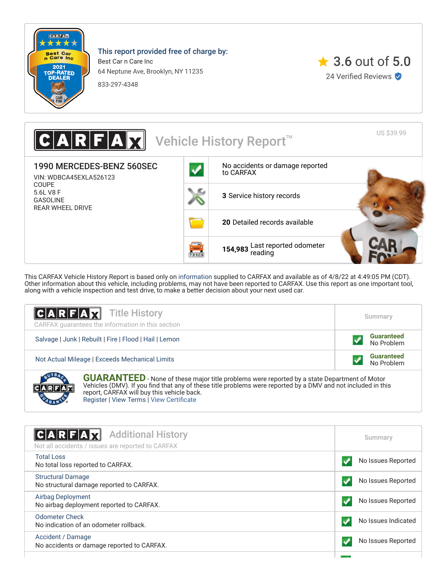

**CARABIA** 

This report provided free of charge by:

Best Car n Care Inc 64 Neptune Ave, Brooklyn, NY 11235

833-297-4348



US \$39.99 Vehicle History Report<sup>™</sup> 1990 MERCEDES-BENZ 560SEC [No accidents or damage reported](#page-0-0) to CARFAX VIN: WDBCA45EXLA526123 COUPE 5.6L V8 F **3** [Service history records](#page-1-0) GASOLINE REAR WHEEL DRIVE **20** [Detailed records available](#page-1-0) **154,983** [Last reported odometer](#page-1-0)  $731128$ 

This CARFAX Vehicle History Report is based only on [information](http://www.carfax.com/company/vhr-data-sources) supplied to CARFAX and available as of 4/8/22 at 4:49:05 PM (CDT). Other information about this vehicle, including problems, may not have been reported to CARFAX. Use this report as one important tool, along with a vehicle inspection and test drive, to make a better decision about your next used car.

| $ C A R F A \overline{X}$ Title History<br>CARFAX quarantees the information in this section                                                                                                                                                                   | Summary                         |
|----------------------------------------------------------------------------------------------------------------------------------------------------------------------------------------------------------------------------------------------------------------|---------------------------------|
| Salvage   Junk   Rebuilt   Fire   Flood   Hail   Lemon                                                                                                                                                                                                         | <b>Guaranteed</b><br>No Problem |
| Not Actual Mileage   Exceeds Mechanical Limits                                                                                                                                                                                                                 | <b>Guaranteed</b><br>No Problem |
| <b>GUARANTEED</b> - None of these major title problems were reported by a state Department of Motor Vehicles (DMV). If you find that any of these title problems were reported by a DMV and not included in this<br>report, CARFAX will buy this vehicle back. |                                 |

[Register](https://www.carfax.com/Service/bbg) | [View Terms](http://www.carfaxonline.com/legal/bbgTerms) | [View Certificate](https://www.carfaxonline.com/vhrs/WDBCA45EXLA526123)

<span id="page-0-0"></span>

| $ {\bf C} {\bf A} {\bf R} {\bf F} {\bf A} {\bf X}$<br><b>Additional History</b><br>Not all accidents / issues are reported to CARFAX | Summary             |
|--------------------------------------------------------------------------------------------------------------------------------------|---------------------|
| <b>Total Loss</b><br>No total loss reported to CARFAX.                                                                               | No Issues Reported  |
| <b>Structural Damage</b><br>No structural damage reported to CARFAX.                                                                 | No Issues Reported  |
| <b>Airbag Deployment</b><br>No airbag deployment reported to CARFAX.                                                                 | No Issues Reported  |
| Odometer Check<br>No indication of an odometer rollback.                                                                             | No Issues Indicated |
| Accident / Damage<br>No accidents or damage reported to CARFAX.                                                                      | No Issues Reported  |
|                                                                                                                                      |                     |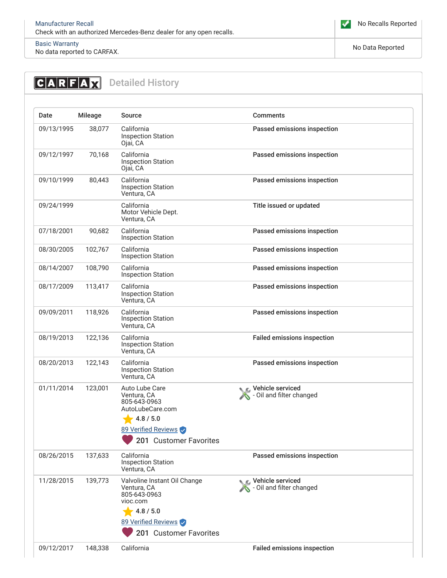

## [Basic Warranty](https://www.carfaxonline.com/vhrs/defBasicWarranty)

no data reported to CARFAX.<br>No data reported to CARFAX.

## <span id="page-1-0"></span>**CARFAX** Detailed History Date Mileage Source Comments 09/13/1995 38,077 California Inspection Station Ojai, CA Passed emissions inspection 09/12/1997 70,168 California Inspection Station Ojai, CA Passed emissions inspection 09/10/1999 80,443 California Inspection Station Ventura, CA Passed emissions inspection 09/24/1999 California Motor Vehicle Dept. Ventura, CA Title issued or updated 07/18/2001 90,682 California Inspection Station Passed emissions inspection 08/30/2005 102,767 California Inspection Station Passed emissions inspection 08/14/2007 108,790 California Inspection Station Passed emissions inspection 08/17/2009 113,417 California Inspection Station Ventura, CA Passed emissions inspection 09/09/2011 118,926 California Inspection Station Ventura, CA Passed emissions inspection 08/19/2013 122,136 California Inspection Station Ventura, CA Failed emissions inspection 08/20/2013 122,143 California Inspection Station Ventura, CA Passed emissions inspection 01/11/2014 123,001 Auto Lube Care Ventura, CA 805-643-0963 AutoLubeCare.com  $4.8 / 5.0$ 89 Verified Reviews **C** Vehicle serviced - Oil and filter changed 08/26/2015 137,633 California Inspection Station Ventura, CA Passed emissions inspection 11/28/2015 139,773 Valvoline Instant Oil Change Ventura, CA 805-643-0963 vioc.com  $4.8 / 5.0$ 89 Verified Reviews Vehicle serviced - Oil and filter changed 09/12/2017 148,338 California **Failed emissions inspection** <sup>201</sup> Customer Favorites <sup>201</sup> Customer Favorites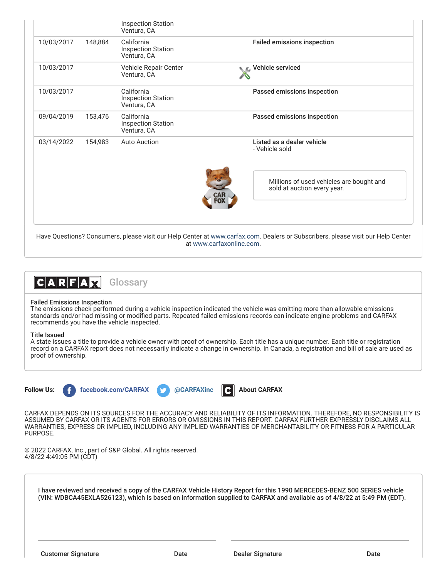| 10/03/2017 | 148,884 | California<br><b>Inspection Station</b><br>Ventura, CA | <b>Failed emissions inspection</b>                                                                                                                          |
|------------|---------|--------------------------------------------------------|-------------------------------------------------------------------------------------------------------------------------------------------------------------|
| 10/03/2017 |         | Vehicle Repair Center<br>Ventura, CA                   | C Vehicle serviced                                                                                                                                          |
| 10/03/2017 |         | California<br><b>Inspection Station</b><br>Ventura, CA | Passed emissions inspection                                                                                                                                 |
| 09/04/2019 | 153,476 | California<br><b>Inspection Station</b><br>Ventura, CA | Passed emissions inspection                                                                                                                                 |
| 03/14/2022 | 154.983 | <b>Auto Auction</b>                                    | Listed as a dealer vehicle<br>- Vehicle sold                                                                                                                |
|            |         |                                                        | Millions of used vehicles are bought and<br>sold at auction every year.                                                                                     |
|            |         |                                                        |                                                                                                                                                             |
|            |         |                                                        | Have Questions? Consumers, please visit our Help Center at www.carfax.com. Dealers or Subscribers, please visit our Help Center<br>at www.carfaxonline.com. |



## Failed Emissions Inspection

The emissions check performed during a vehicle inspection indicated the vehicle was emitting more than allowable emissions standards and/or had missing or modified parts. Repeated failed emissions records can indicate engine problems and CARFAX recommends you have the vehicle inspected.

## Title Issued

A state issues a title to provide a vehicle owner with proof of ownership. Each title has a unique number. Each title or registration record on a CARFAX report does not necessarily indicate a change in ownership. In Canada, a registration and bill of sale are used as proof of ownership.

**Follow Us: f** [facebook.com/CARFAX](https://www.facebook.com/CARFAXinc) **and the CARFAXinc [About CARFAX](http://www.carfax.com/company/about)** 

CARFAX DEPENDS ON ITS SOURCES FOR THE ACCURACY AND RELIABILITY OF ITS INFORMATION. THEREFORE, NO RESPONSIBILITY IS ASSUMED BY CARFAX OR ITS AGENTS FOR ERRORS OR OMISSIONS IN THIS REPORT. CARFAX FURTHER EXPRESSLY DISCLAIMS ALL WARRANTIES, EXPRESS OR IMPLIED, INCLUDING ANY IMPLIED WARRANTIES OF MERCHANTABILITY OR FITNESS FOR A PARTICULAR PURPOSE.

© 2022 CARFAX, Inc., part of S&P Global. All rights reserved. 4/8/22 4:49:05 PM (CDT)

I have reviewed and received a copy of the CARFAX Vehicle History Report for this 1990 MERCEDES-BENZ 500 SERIES vehicle (VIN: WDBCA45EXLA526123), which is based on information supplied to CARFAX and available as of 4/8/22 at 5:49 PM (EDT).